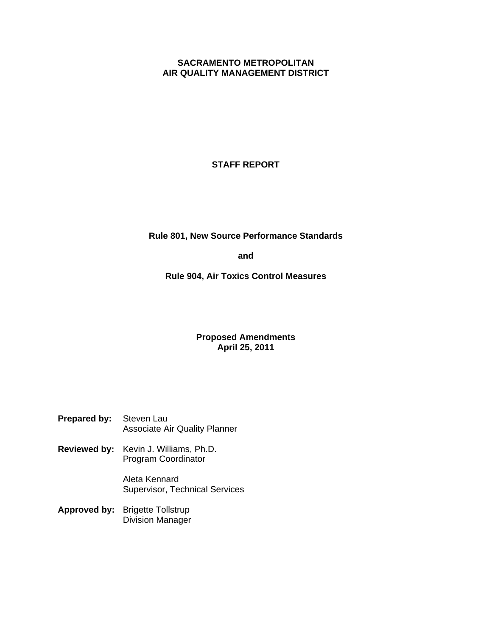## **SACRAMENTO METROPOLITAN AIR QUALITY MANAGEMENT DISTRICT**

## **STAFF REPORT**

## **Rule 801, New Source Performance Standards**

**and** 

**Rule 904, Air Toxics Control Measures** 

## **Proposed Amendments April 25, 2011**

| <b>Prepared by:</b> Steven Lau |                                      |
|--------------------------------|--------------------------------------|
|                                | <b>Associate Air Quality Planner</b> |

**Reviewed by:** Kevin J. Williams, Ph.D. Program Coordinator

> Aleta Kennard Supervisor, Technical Services

**Approved by:** Brigette Tollstrup Division Manager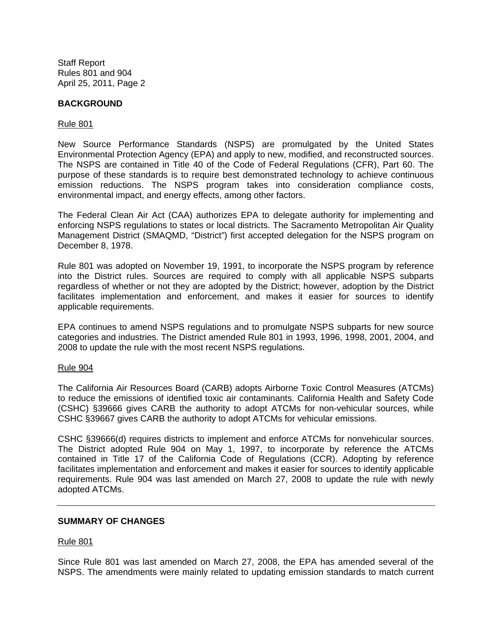## **BACKGROUND**

### Rule 801

New Source Performance Standards (NSPS) are promulgated by the United States Environmental Protection Agency (EPA) and apply to new, modified, and reconstructed sources. The NSPS are contained in Title 40 of the Code of Federal Regulations (CFR), Part 60. The purpose of these standards is to require best demonstrated technology to achieve continuous emission reductions. The NSPS program takes into consideration compliance costs, environmental impact, and energy effects, among other factors.

The Federal Clean Air Act (CAA) authorizes EPA to delegate authority for implementing and enforcing NSPS regulations to states or local districts. The Sacramento Metropolitan Air Quality Management District (SMAQMD, "District") first accepted delegation for the NSPS program on December 8, 1978.

Rule 801 was adopted on November 19, 1991, to incorporate the NSPS program by reference into the District rules. Sources are required to comply with all applicable NSPS subparts regardless of whether or not they are adopted by the District; however, adoption by the District facilitates implementation and enforcement, and makes it easier for sources to identify applicable requirements.

EPA continues to amend NSPS regulations and to promulgate NSPS subparts for new source categories and industries. The District amended Rule 801 in 1993, 1996, 1998, 2001, 2004, and 2008 to update the rule with the most recent NSPS regulations.

## Rule 904

The California Air Resources Board (CARB) adopts Airborne Toxic Control Measures (ATCMs) to reduce the emissions of identified toxic air contaminants. California Health and Safety Code (CSHC) §39666 gives CARB the authority to adopt ATCMs for non-vehicular sources, while CSHC §39667 gives CARB the authority to adopt ATCMs for vehicular emissions.

CSHC §39666(d) requires districts to implement and enforce ATCMs for nonvehicular sources. The District adopted Rule 904 on May 1, 1997, to incorporate by reference the ATCMs contained in Title 17 of the California Code of Regulations (CCR). Adopting by reference facilitates implementation and enforcement and makes it easier for sources to identify applicable requirements. Rule 904 was last amended on March 27, 2008 to update the rule with newly adopted ATCMs.

## **SUMMARY OF CHANGES**

## Rule 801

Since Rule 801 was last amended on March 27, 2008, the EPA has amended several of the NSPS. The amendments were mainly related to updating emission standards to match current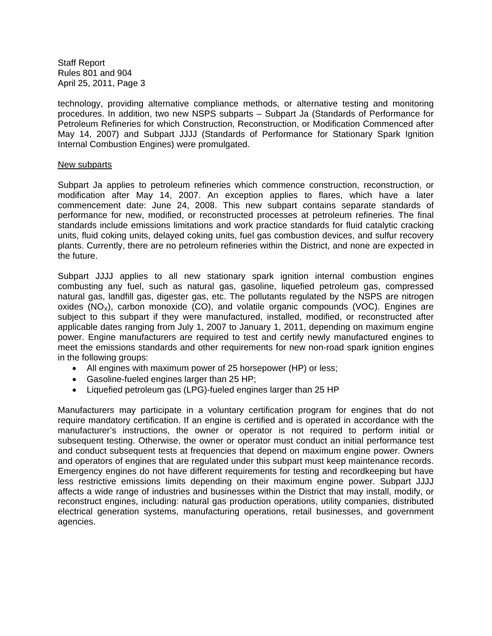technology, providing alternative compliance methods, or alternative testing and monitoring procedures. In addition, two new NSPS subparts – Subpart Ja (Standards of Performance for Petroleum Refineries for which Construction, Reconstruction, or Modification Commenced after May 14, 2007) and Subpart JJJJ (Standards of Performance for Stationary Spark Ignition Internal Combustion Engines) were promulgated.

#### New subparts

Subpart Ja applies to petroleum refineries which commence construction, reconstruction, or modification after May 14, 2007. An exception applies to flares, which have a later commencement date: June 24, 2008. This new subpart contains separate standards of performance for new, modified, or reconstructed processes at petroleum refineries. The final standards include emissions limitations and work practice standards for fluid catalytic cracking units, fluid coking units, delayed coking units, fuel gas combustion devices, and sulfur recovery plants. Currently, there are no petroleum refineries within the District, and none are expected in the future.

Subpart JJJJ applies to all new stationary spark ignition internal combustion engines combusting any fuel, such as natural gas, gasoline, liquefied petroleum gas, compressed natural gas, landfill gas, digester gas, etc. The pollutants regulated by the NSPS are nitrogen oxides  $(NO_x)$ , carbon monoxide  $(CO)$ , and volatile organic compounds  $(VOC)$ . Engines are subject to this subpart if they were manufactured, installed, modified, or reconstructed after applicable dates ranging from July 1, 2007 to January 1, 2011, depending on maximum engine power. Engine manufacturers are required to test and certify newly manufactured engines to meet the emissions standards and other requirements for new non-road spark ignition engines in the following groups:

- All engines with maximum power of 25 horsepower (HP) or less;
- Gasoline-fueled engines larger than 25 HP;
- Liquefied petroleum gas (LPG)-fueled engines larger than 25 HP

Manufacturers may participate in a voluntary certification program for engines that do not require mandatory certification. If an engine is certified and is operated in accordance with the manufacturer's instructions, the owner or operator is not required to perform initial or subsequent testing. Otherwise, the owner or operator must conduct an initial performance test and conduct subsequent tests at frequencies that depend on maximum engine power. Owners and operators of engines that are regulated under this subpart must keep maintenance records. Emergency engines do not have different requirements for testing and recordkeeping but have less restrictive emissions limits depending on their maximum engine power. Subpart JJJJ affects a wide range of industries and businesses within the District that may install, modify, or reconstruct engines, including: natural gas production operations, utility companies, distributed electrical generation systems, manufacturing operations, retail businesses, and government agencies.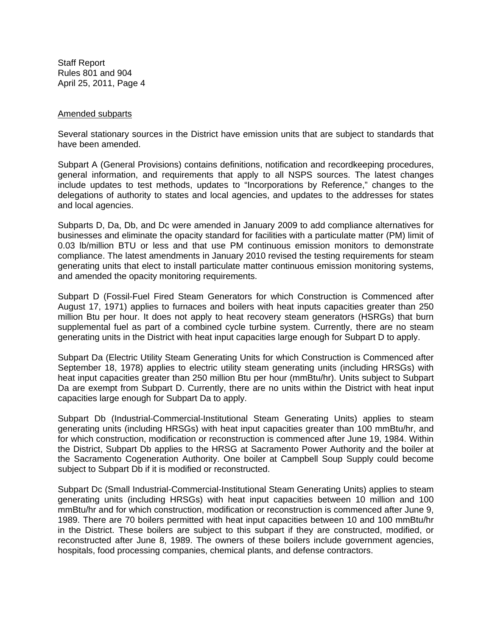#### Amended subparts

Several stationary sources in the District have emission units that are subject to standards that have been amended.

Subpart A (General Provisions) contains definitions, notification and recordkeeping procedures, general information, and requirements that apply to all NSPS sources. The latest changes include updates to test methods, updates to "Incorporations by Reference," changes to the delegations of authority to states and local agencies, and updates to the addresses for states and local agencies.

Subparts D, Da, Db, and Dc were amended in January 2009 to add compliance alternatives for businesses and eliminate the opacity standard for facilities with a particulate matter (PM) limit of 0.03 lb/million BTU or less and that use PM continuous emission monitors to demonstrate compliance. The latest amendments in January 2010 revised the testing requirements for steam generating units that elect to install particulate matter continuous emission monitoring systems, and amended the opacity monitoring requirements.

Subpart D (Fossil-Fuel Fired Steam Generators for which Construction is Commenced after August 17, 1971) applies to furnaces and boilers with heat inputs capacities greater than 250 million Btu per hour. It does not apply to heat recovery steam generators (HSRGs) that burn supplemental fuel as part of a combined cycle turbine system. Currently, there are no steam generating units in the District with heat input capacities large enough for Subpart D to apply.

Subpart Da (Electric Utility Steam Generating Units for which Construction is Commenced after September 18, 1978) applies to electric utility steam generating units (including HRSGs) with heat input capacities greater than 250 million Btu per hour (mmBtu/hr). Units subject to Subpart Da are exempt from Subpart D. Currently, there are no units within the District with heat input capacities large enough for Subpart Da to apply.

Subpart Db (Industrial-Commercial-Institutional Steam Generating Units) applies to steam generating units (including HRSGs) with heat input capacities greater than 100 mmBtu/hr, and for which construction, modification or reconstruction is commenced after June 19, 1984. Within the District, Subpart Db applies to the HRSG at Sacramento Power Authority and the boiler at the Sacramento Cogeneration Authority. One boiler at Campbell Soup Supply could become subject to Subpart Db if it is modified or reconstructed.

Subpart Dc (Small Industrial-Commercial-Institutional Steam Generating Units) applies to steam generating units (including HRSGs) with heat input capacities between 10 million and 100 mmBtu/hr and for which construction, modification or reconstruction is commenced after June 9, 1989. There are 70 boilers permitted with heat input capacities between 10 and 100 mmBtu/hr in the District. These boilers are subject to this subpart if they are constructed, modified, or reconstructed after June 8, 1989. The owners of these boilers include government agencies, hospitals, food processing companies, chemical plants, and defense contractors.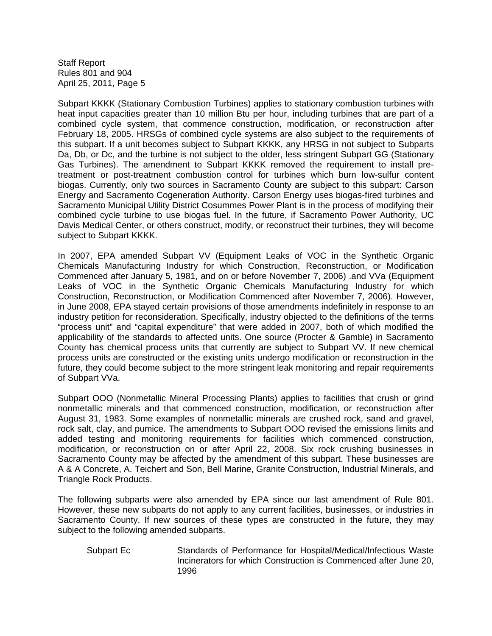Subpart KKKK (Stationary Combustion Turbines) applies to stationary combustion turbines with heat input capacities greater than 10 million Btu per hour, including turbines that are part of a combined cycle system, that commence construction, modification, or reconstruction after February 18, 2005. HRSGs of combined cycle systems are also subject to the requirements of this subpart. If a unit becomes subject to Subpart KKKK, any HRSG in not subject to Subparts Da, Db, or Dc, and the turbine is not subject to the older, less stringent Subpart GG (Stationary Gas Turbines). The amendment to Subpart KKKK removed the requirement to install pretreatment or post-treatment combustion control for turbines which burn low-sulfur content biogas. Currently, only two sources in Sacramento County are subject to this subpart: Carson Energy and Sacramento Cogeneration Authority. Carson Energy uses biogas-fired turbines and Sacramento Municipal Utility District Cosummes Power Plant is in the process of modifying their combined cycle turbine to use biogas fuel. In the future, if Sacramento Power Authority, UC Davis Medical Center, or others construct, modify, or reconstruct their turbines, they will become subject to Subpart KKKK.

In 2007, EPA amended Subpart VV (Equipment Leaks of VOC in the Synthetic Organic Chemicals Manufacturing Industry for which Construction, Reconstruction, or Modification Commenced after January 5, 1981, and on or before November 7, 2006) .and VVa (Equipment Leaks of VOC in the Synthetic Organic Chemicals Manufacturing Industry for which Construction, Reconstruction, or Modification Commenced after November 7, 2006). However, in June 2008, EPA stayed certain provisions of those amendments indefinitely in response to an industry petition for reconsideration. Specifically, industry objected to the definitions of the terms "process unit" and "capital expenditure" that were added in 2007, both of which modified the applicability of the standards to affected units. One source (Procter & Gamble) in Sacramento County has chemical process units that currently are subject to Subpart VV. If new chemical process units are constructed or the existing units undergo modification or reconstruction in the future, they could become subject to the more stringent leak monitoring and repair requirements of Subpart VVa.

Subpart OOO (Nonmetallic Mineral Processing Plants) applies to facilities that crush or grind nonmetallic minerals and that commenced construction, modification, or reconstruction after August 31, 1983. Some examples of nonmetallic minerals are crushed rock, sand and gravel, rock salt, clay, and pumice. The amendments to Subpart OOO revised the emissions limits and added testing and monitoring requirements for facilities which commenced construction, modification, or reconstruction on or after April 22, 2008. Six rock crushing businesses in Sacramento County may be affected by the amendment of this subpart. These businesses are A & A Concrete, A. Teichert and Son, Bell Marine, Granite Construction, Industrial Minerals, and Triangle Rock Products.

The following subparts were also amended by EPA since our last amendment of Rule 801. However, these new subparts do not apply to any current facilities, businesses, or industries in Sacramento County. If new sources of these types are constructed in the future, they may subject to the following amended subparts.

 Subpart Ec Standards of Performance for Hospital/Medical/Infectious Waste Incinerators for which Construction is Commenced after June 20, 1996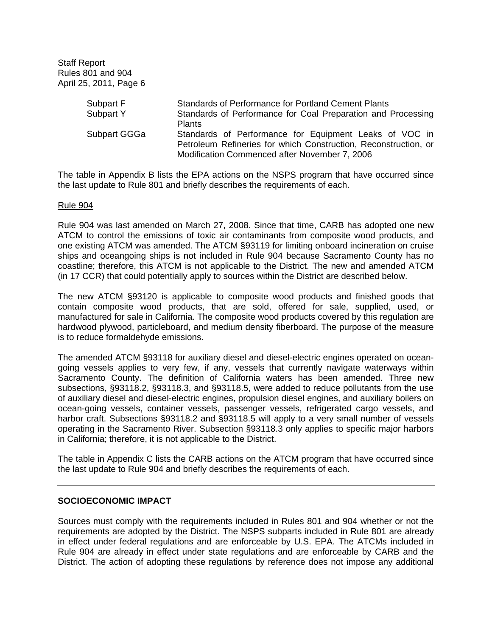| Standards of Performance for Portland Cement Plants             |  |  |  |
|-----------------------------------------------------------------|--|--|--|
| Standards of Performance for Coal Preparation and Processing    |  |  |  |
|                                                                 |  |  |  |
| Standards of Performance for Equipment Leaks of VOC in          |  |  |  |
| Petroleum Refineries for which Construction, Reconstruction, or |  |  |  |
| Modification Commenced after November 7, 2006                   |  |  |  |
|                                                                 |  |  |  |

The table in Appendix B lists the EPA actions on the NSPS program that have occurred since the last update to Rule 801 and briefly describes the requirements of each.

#### Rule 904

Rule 904 was last amended on March 27, 2008. Since that time, CARB has adopted one new ATCM to control the emissions of toxic air contaminants from composite wood products, and one existing ATCM was amended. The ATCM §93119 for limiting onboard incineration on cruise ships and oceangoing ships is not included in Rule 904 because Sacramento County has no coastline; therefore, this ATCM is not applicable to the District. The new and amended ATCM (in 17 CCR) that could potentially apply to sources within the District are described below.

The new ATCM §93120 is applicable to composite wood products and finished goods that contain composite wood products, that are sold, offered for sale, supplied, used, or manufactured for sale in California. The composite wood products covered by this regulation are hardwood plywood, particleboard, and medium density fiberboard. The purpose of the measure is to reduce formaldehyde emissions.

The amended ATCM §93118 for auxiliary diesel and diesel-electric engines operated on oceangoing vessels applies to very few, if any, vessels that currently navigate waterways within Sacramento County. The definition of California waters has been amended. Three new subsections, §93118.2, §93118.3, and §93118.5, were added to reduce pollutants from the use of auxiliary diesel and diesel-electric engines, propulsion diesel engines, and auxiliary boilers on ocean-going vessels, container vessels, passenger vessels, refrigerated cargo vessels, and harbor craft. Subsections §93118.2 and §93118.5 will apply to a very small number of vessels operating in the Sacramento River. Subsection §93118.3 only applies to specific major harbors in California; therefore, it is not applicable to the District.

The table in Appendix C lists the CARB actions on the ATCM program that have occurred since the last update to Rule 904 and briefly describes the requirements of each.

## **SOCIOECONOMIC IMPACT**

Sources must comply with the requirements included in Rules 801 and 904 whether or not the requirements are adopted by the District. The NSPS subparts included in Rule 801 are already in effect under federal regulations and are enforceable by U.S. EPA. The ATCMs included in Rule 904 are already in effect under state regulations and are enforceable by CARB and the District. The action of adopting these regulations by reference does not impose any additional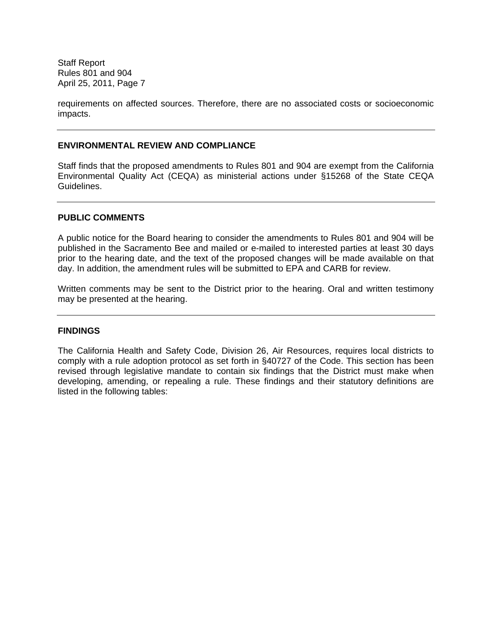requirements on affected sources. Therefore, there are no associated costs or socioeconomic impacts.

## **ENVIRONMENTAL REVIEW AND COMPLIANCE**

Staff finds that the proposed amendments to Rules 801 and 904 are exempt from the California Environmental Quality Act (CEQA) as ministerial actions under §15268 of the State CEQA Guidelines.

## **PUBLIC COMMENTS**

A public notice for the Board hearing to consider the amendments to Rules 801 and 904 will be published in the Sacramento Bee and mailed or e-mailed to interested parties at least 30 days prior to the hearing date, and the text of the proposed changes will be made available on that day. In addition, the amendment rules will be submitted to EPA and CARB for review.

Written comments may be sent to the District prior to the hearing. Oral and written testimony may be presented at the hearing.

## **FINDINGS**

The California Health and Safety Code, Division 26, Air Resources, requires local districts to comply with a rule adoption protocol as set forth in §40727 of the Code. This section has been revised through legislative mandate to contain six findings that the District must make when developing, amending, or repealing a rule. These findings and their statutory definitions are listed in the following tables: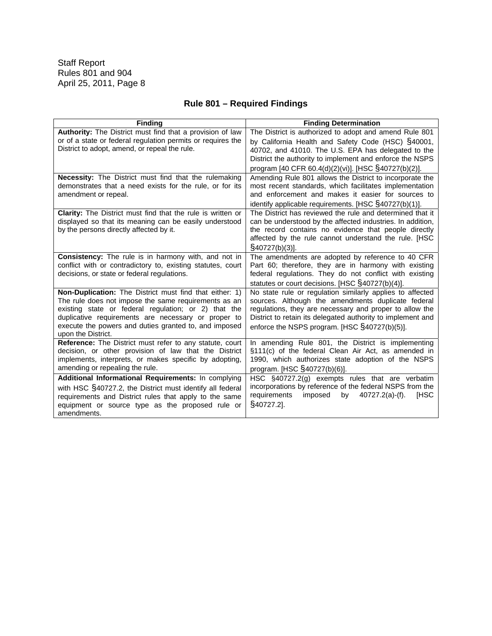# **Rule 801 – Required Findings**

| <b>Finding</b>                                                                                                  | <b>Finding Determination</b>                                                                                    |
|-----------------------------------------------------------------------------------------------------------------|-----------------------------------------------------------------------------------------------------------------|
| Authority: The District must find that a provision of law                                                       | The District is authorized to adopt and amend Rule 801                                                          |
| or of a state or federal regulation permits or requires the                                                     | by California Health and Safety Code (HSC) §40001,                                                              |
| District to adopt, amend, or repeal the rule.                                                                   | 40702, and 41010. The U.S. EPA has delegated to the                                                             |
|                                                                                                                 | District the authority to implement and enforce the NSPS                                                        |
|                                                                                                                 | program [40 CFR 60.4(d)(2)(vi)]. [HSC §40727(b)(2)].                                                            |
| Necessity: The District must find that the rulemaking                                                           | Amending Rule 801 allows the District to incorporate the                                                        |
| demonstrates that a need exists for the rule, or for its                                                        | most recent standards, which facilitates implementation                                                         |
| amendment or repeal.                                                                                            | and enforcement and makes it easier for sources to                                                              |
|                                                                                                                 | identify applicable requirements. [HSC $\S$ 40727(b)(1)].                                                       |
| Clarity: The District must find that the rule is written or                                                     | The District has reviewed the rule and determined that it                                                       |
| displayed so that its meaning can be easily understood                                                          | can be understood by the affected industries. In addition,                                                      |
| by the persons directly affected by it.                                                                         | the record contains no evidence that people directly                                                            |
|                                                                                                                 | affected by the rule cannot understand the rule. [HSC                                                           |
|                                                                                                                 | $\S$ 40727(b)(3)].                                                                                              |
| Consistency: The rule is in harmony with, and not in                                                            | The amendments are adopted by reference to 40 CFR                                                               |
| conflict with or contradictory to, existing statutes, court                                                     | Part 60; therefore, they are in harmony with existing                                                           |
| decisions, or state or federal regulations.                                                                     | federal regulations. They do not conflict with existing                                                         |
|                                                                                                                 | statutes or court decisions. [HSC §40727(b)(4)].                                                                |
| Non-Duplication: The District must find that either: 1)<br>The rule does not impose the same requirements as an | No state rule or regulation similarly applies to affected<br>sources. Although the amendments duplicate federal |
| existing state or federal regulation; or 2) that the                                                            | regulations, they are necessary and proper to allow the                                                         |
| duplicative requirements are necessary or proper to                                                             | District to retain its delegated authority to implement and                                                     |
| execute the powers and duties granted to, and imposed                                                           | enforce the NSPS program. [HSC §40727(b)(5)].                                                                   |
| upon the District.                                                                                              |                                                                                                                 |
| Reference: The District must refer to any statute, court                                                        | In amending Rule 801, the District is implementing                                                              |
| decision, or other provision of law that the District                                                           | §111(c) of the federal Clean Air Act, as amended in                                                             |
| implements, interprets, or makes specific by adopting,                                                          | 1990, which authorizes state adoption of the NSPS                                                               |
| amending or repealing the rule.                                                                                 | program. [HSC §40727(b)(6)].                                                                                    |
| Additional Informational Requirements: In complying                                                             | HSC §40727.2(g) exempts rules that are verbatim                                                                 |
| with HSC §40727.2, the District must identify all federal                                                       | incorporations by reference of the federal NSPS from the                                                        |
| requirements and District rules that apply to the same                                                          | requirements<br>imposed<br>by<br>$40727.2(a)$ -(f).<br>[HSC                                                     |
| equipment or source type as the proposed rule or                                                                | §40727.2].                                                                                                      |
| amendments.                                                                                                     |                                                                                                                 |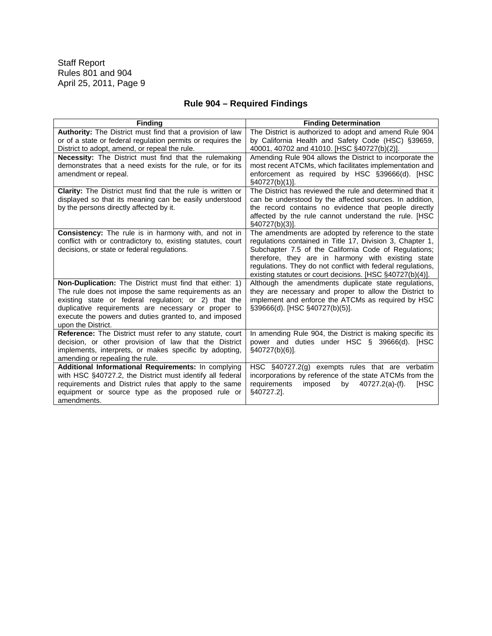# **Rule 904 – Required Findings**

| <b>Finding</b>                                                                                                                                                                                                                                                                                                       | <b>Finding Determination</b>                                                                                                                                                                                                                                                                                                                                 |
|----------------------------------------------------------------------------------------------------------------------------------------------------------------------------------------------------------------------------------------------------------------------------------------------------------------------|--------------------------------------------------------------------------------------------------------------------------------------------------------------------------------------------------------------------------------------------------------------------------------------------------------------------------------------------------------------|
| Authority: The District must find that a provision of law<br>or of a state or federal regulation permits or requires the                                                                                                                                                                                             | The District is authorized to adopt and amend Rule 904<br>by California Health and Safety Code (HSC) §39659,                                                                                                                                                                                                                                                 |
| District to adopt, amend, or repeal the rule.                                                                                                                                                                                                                                                                        | 40001, 40702 and 41010. [HSC §40727(b)(2)].                                                                                                                                                                                                                                                                                                                  |
| <b>Necessity:</b> The District must find that the rulemaking<br>demonstrates that a need exists for the rule, or for its<br>amendment or repeal.                                                                                                                                                                     | Amending Rule 904 allows the District to incorporate the<br>most recent ATCMs, which facilitates implementation and<br>enforcement as required by HSC §39666(d). [HSC<br>§40727(b)(1)].                                                                                                                                                                      |
| <b>Clarity:</b> The District must find that the rule is written or<br>displayed so that its meaning can be easily understood<br>by the persons directly affected by it.                                                                                                                                              | The District has reviewed the rule and determined that it<br>can be understood by the affected sources. In addition,<br>the record contains no evidence that people directly<br>affected by the rule cannot understand the rule. [HSC<br>$\S$ 40727(b)(3)].                                                                                                  |
| <b>Consistency:</b> The rule is in harmony with, and not in<br>conflict with or contradictory to, existing statutes, court<br>decisions, or state or federal regulations.                                                                                                                                            | The amendments are adopted by reference to the state<br>regulations contained in Title 17, Division 3, Chapter 1,<br>Subchapter 7.5 of the California Code of Regulations;<br>therefore, they are in harmony with existing state<br>regulations. They do not conflict with federal regulations,<br>existing statutes or court decisions. [HSC §40727(b)(4)]. |
| <b>Non-Duplication:</b> The District must find that either: 1)<br>The rule does not impose the same requirements as an<br>existing state or federal regulation; or 2) that the<br>duplicative requirements are necessary or proper to<br>execute the powers and duties granted to, and imposed<br>upon the District. | Although the amendments duplicate state regulations,<br>they are necessary and proper to allow the District to<br>implement and enforce the ATCMs as required by HSC<br>§39666(d). [HSC §40727(b)(5)].                                                                                                                                                       |
| <b>Reference:</b> The District must refer to any statute, court<br>decision, or other provision of law that the District<br>implements, interprets, or makes specific by adopting,<br>amending or repealing the rule.                                                                                                | In amending Rule 904, the District is making specific its<br>power and duties under HSC §<br>39666(d). [HSC<br>$\S$ 40727(b)(6)].                                                                                                                                                                                                                            |
| Additional Informational Requirements: In complying<br>with HSC §40727.2, the District must identify all federal<br>requirements and District rules that apply to the same<br>equipment or source type as the proposed rule or<br>amendments.                                                                        | HSC $\S$ 40727.2(g) exempts rules that are verbatim<br>incorporations by reference of the state ATCMs from the<br>requirements<br><b>IHSC</b><br>imposed<br>by<br>$40727.2(a)$ -(f).<br>§40727.2].                                                                                                                                                           |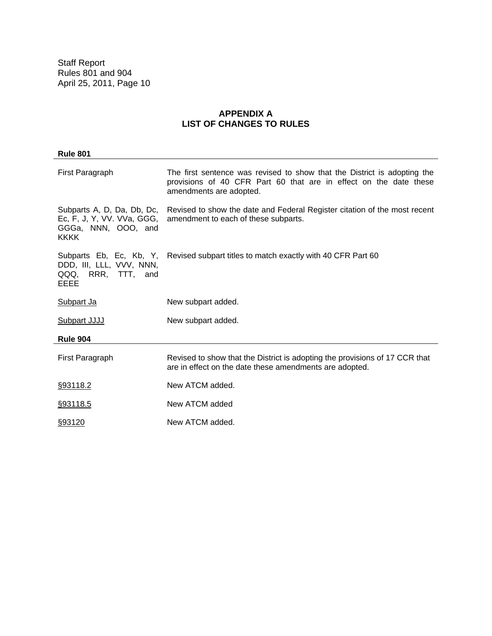## **APPENDIX A LIST OF CHANGES TO RULES**

| <b>Rule 801</b>                                                                                |                                                                                                                                                                          |
|------------------------------------------------------------------------------------------------|--------------------------------------------------------------------------------------------------------------------------------------------------------------------------|
| First Paragraph                                                                                | The first sentence was revised to show that the District is adopting the<br>provisions of 40 CFR Part 60 that are in effect on the date these<br>amendments are adopted. |
| Subparts A, D, Da, Db, Dc,<br>Ec, F, J, Y, VV. VVa, GGG,<br>GGGa, NNN, OOO, and<br><b>KKKK</b> | Revised to show the date and Federal Register citation of the most recent<br>amendment to each of these subparts.                                                        |
| Subparts Eb, Ec, Kb, Y,<br>DDD, III, LLL, VVV, NNN,<br>QQQ, RRR, TTT, and<br>EEEE              | Revised subpart titles to match exactly with 40 CFR Part 60                                                                                                              |
| Subpart Ja                                                                                     | New subpart added.                                                                                                                                                       |
| Subpart JJJJ                                                                                   | New subpart added.                                                                                                                                                       |
| <b>Rule 904</b>                                                                                |                                                                                                                                                                          |
| First Paragraph                                                                                | Revised to show that the District is adopting the provisions of 17 CCR that<br>are in effect on the date these amendments are adopted.                                   |
| §93118.2                                                                                       | New ATCM added.                                                                                                                                                          |
| §93118.5                                                                                       | New ATCM added                                                                                                                                                           |
| §93120                                                                                         | New ATCM added.                                                                                                                                                          |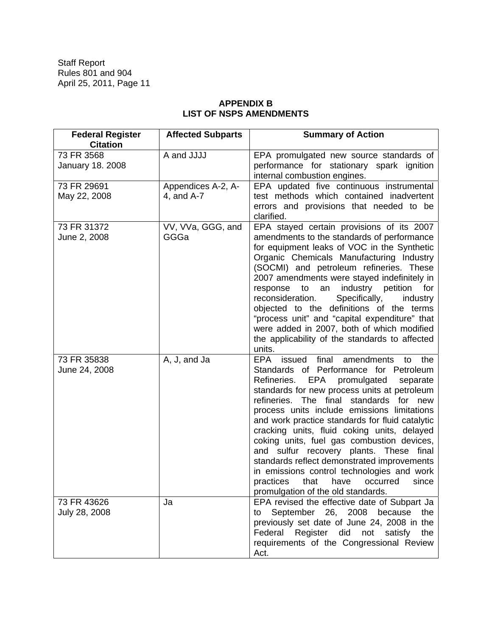# **APPENDIX B LIST OF NSPS AMENDMENTS**

| <b>Federal Register</b><br><b>Citation</b> | <b>Affected Subparts</b>         | <b>Summary of Action</b>                                                                                                                                                                                                                                                                                                                                                                                                                                                                                                                                                                                                                                                        |
|--------------------------------------------|----------------------------------|---------------------------------------------------------------------------------------------------------------------------------------------------------------------------------------------------------------------------------------------------------------------------------------------------------------------------------------------------------------------------------------------------------------------------------------------------------------------------------------------------------------------------------------------------------------------------------------------------------------------------------------------------------------------------------|
| 73 FR 3568<br><b>January 18. 2008</b>      | A and JJJJ                       | EPA promulgated new source standards of<br>performance for stationary spark ignition<br>internal combustion engines.                                                                                                                                                                                                                                                                                                                                                                                                                                                                                                                                                            |
| 73 FR 29691<br>May 22, 2008                | Appendices A-2, A-<br>4, and A-7 | EPA updated five continuous instrumental<br>test methods which contained inadvertent<br>errors and provisions that needed to be<br>clarified.                                                                                                                                                                                                                                                                                                                                                                                                                                                                                                                                   |
| 73 FR 31372<br>June 2, 2008                | VV, VVa, GGG, and<br>GGGa        | EPA stayed certain provisions of its 2007<br>amendments to the standards of performance<br>for equipment leaks of VOC in the Synthetic<br>Organic Chemicals Manufacturing Industry<br>(SOCMI) and petroleum refineries. These<br>2007 amendments were stayed indefinitely in<br>industry petition<br>response<br>to<br>an<br>for<br>Specifically,<br>reconsideration.<br>industry<br>objected to the definitions of the terms<br>"process unit" and "capital expenditure" that<br>were added in 2007, both of which modified<br>the applicability of the standards to affected<br>units.                                                                                        |
| 73 FR 35838<br>June 24, 2008               | A, J, and Ja                     | final<br>amendments<br>EPA<br>issued<br>the<br>to<br>Standards of Performance for Petroleum<br>Refineries.<br>EPA<br>promulgated<br>separate<br>standards for new process units at petroleum<br>refineries.<br>The final<br>standards<br>for new<br>process units include emissions limitations<br>and work practice standards for fluid catalytic<br>cracking units, fluid coking units, delayed<br>coking units, fuel gas combustion devices,<br>and sulfur recovery plants. These final<br>standards reflect demonstrated improvements<br>in emissions control technologies and work<br>practices<br>that<br>have<br>occurred<br>since<br>promulgation of the old standards. |
| 73 FR 43626<br>July 28, 2008               | Ja                               | EPA revised the effective date of Subpart Ja<br>September 26, 2008 because<br>the<br>to<br>previously set date of June 24, 2008 in the<br>Federal Register did not satisfy<br>the<br>requirements of the Congressional Review<br>Act.                                                                                                                                                                                                                                                                                                                                                                                                                                           |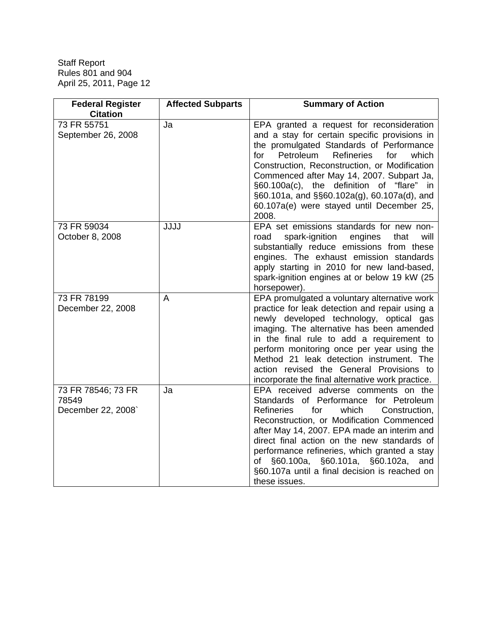| <b>Federal Register</b><br><b>Citation</b>        | <b>Affected Subparts</b> | <b>Summary of Action</b>                                                                                                                                                                                                                                                                                                                                                                                                                     |
|---------------------------------------------------|--------------------------|----------------------------------------------------------------------------------------------------------------------------------------------------------------------------------------------------------------------------------------------------------------------------------------------------------------------------------------------------------------------------------------------------------------------------------------------|
| 73 FR 55751<br>September 26, 2008                 | Ja                       | EPA granted a request for reconsideration<br>and a stay for certain specific provisions in<br>the promulgated Standards of Performance<br>Petroleum<br>Refineries<br>for<br>for<br>which<br>Construction, Reconstruction, or Modification<br>Commenced after May 14, 2007. Subpart Ja,<br>§60.100a(c), the definition of "flare" in<br>§60.101a, and §§60.102a(g), 60.107a(d), and<br>60.107a(e) were stayed until December 25,<br>2008.     |
| 73 FR 59034<br>October 8, 2008                    | <b>JJJJ</b>              | EPA set emissions standards for new non-<br>spark-ignition<br>road<br>engines<br>that<br>will<br>substantially reduce emissions from these<br>engines. The exhaust emission standards<br>apply starting in 2010 for new land-based,<br>spark-ignition engines at or below 19 kW (25<br>horsepower).                                                                                                                                          |
| 73 FR 78199<br>December 22, 2008                  | A                        | EPA promulgated a voluntary alternative work<br>practice for leak detection and repair using a<br>newly developed technology, optical gas<br>imaging. The alternative has been amended<br>in the final rule to add a requirement to<br>perform monitoring once per year using the<br>Method 21 leak detection instrument. The<br>action revised the General Provisions to<br>incorporate the final alternative work practice.                |
| 73 FR 78546; 73 FR<br>78549<br>December 22, 2008` | Ja                       | EPA received adverse comments on the<br>Standards of Performance for Petroleum<br><b>Refineries</b><br>for<br>which<br>Construction,<br>Reconstruction, or Modification Commenced<br>after May 14, 2007. EPA made an interim and<br>direct final action on the new standards of<br>performance refineries, which granted a stay<br>of §60.100a, §60.101a, §60.102a,<br>and<br>§60.107a until a final decision is reached on<br>these issues. |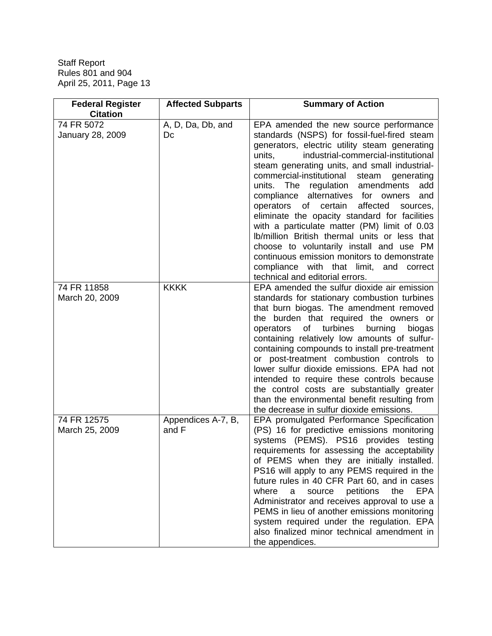| <b>Federal Register</b><br><b>Citation</b> | <b>Affected Subparts</b>    | <b>Summary of Action</b>                                                                                                                                                                                                                                                                                                                                                                                                                                                                                                                                                                                                                                                                                                                                           |
|--------------------------------------------|-----------------------------|--------------------------------------------------------------------------------------------------------------------------------------------------------------------------------------------------------------------------------------------------------------------------------------------------------------------------------------------------------------------------------------------------------------------------------------------------------------------------------------------------------------------------------------------------------------------------------------------------------------------------------------------------------------------------------------------------------------------------------------------------------------------|
| 74 FR 5072<br>January 28, 2009             | A, D, Da, Db, and<br>Dc     | EPA amended the new source performance<br>standards (NSPS) for fossil-fuel-fired steam<br>generators, electric utility steam generating<br>industrial-commercial-institutional<br>units,<br>steam generating units, and small industrial-<br>commercial-institutional<br>steam<br>generating<br>units.<br>The regulation amendments<br>add<br>compliance alternatives for owners<br>and<br>operators of certain<br>affected<br>sources,<br>eliminate the opacity standard for facilities<br>with a particulate matter (PM) limit of 0.03<br>Ib/million British thermal units or less that<br>choose to voluntarily install and use PM<br>continuous emission monitors to demonstrate<br>compliance with that limit, and correct<br>technical and editorial errors. |
| 74 FR 11858<br>March 20, 2009              | <b>KKKK</b>                 | EPA amended the sulfur dioxide air emission<br>standards for stationary combustion turbines<br>that burn biogas. The amendment removed<br>the burden that required the owners or<br>of turbines<br>burning<br>operators<br>biogas<br>containing relatively low amounts of sulfur-<br>containing compounds to install pre-treatment<br>or post-treatment combustion controls to<br>lower sulfur dioxide emissions. EPA had not<br>intended to require these controls because<br>the control costs are substantially greater<br>than the environmental benefit resulting from<br>the decrease in sulfur dioxide emissions.                                                                                                                                           |
| 74 FR 12575<br>March 25, 2009              | Appendices A-7, B,<br>and F | EPA promulgated Performance Specification<br>(PS) 16 for predictive emissions monitoring<br>systems (PEMS). PS16 provides testing<br>requirements for assessing the acceptability<br>of PEMS when they are initially installed.<br>PS16 will apply to any PEMS required in the<br>future rules in 40 CFR Part 60, and in cases<br>where<br><b>EPA</b><br>petitions<br>source<br>the<br>a<br>Administrator and receives approval to use a<br>PEMS in lieu of another emissions monitoring<br>system required under the regulation. EPA<br>also finalized minor technical amendment in<br>the appendices.                                                                                                                                                            |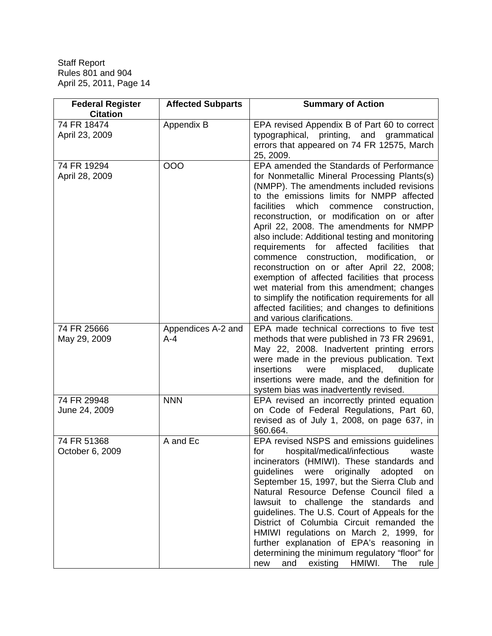| <b>Federal Register</b><br><b>Citation</b> | <b>Affected Subparts</b>    | <b>Summary of Action</b>                                                                                                                                                                                                                                                                                                                                                                                                                                                                                                                                                                                                                                                                                                                                          |
|--------------------------------------------|-----------------------------|-------------------------------------------------------------------------------------------------------------------------------------------------------------------------------------------------------------------------------------------------------------------------------------------------------------------------------------------------------------------------------------------------------------------------------------------------------------------------------------------------------------------------------------------------------------------------------------------------------------------------------------------------------------------------------------------------------------------------------------------------------------------|
| 74 FR 18474<br>April 23, 2009              | Appendix B                  | EPA revised Appendix B of Part 60 to correct<br>typographical, printing, and grammatical<br>errors that appeared on 74 FR 12575, March<br>25, 2009.                                                                                                                                                                                                                                                                                                                                                                                                                                                                                                                                                                                                               |
| 74 FR 19294<br>April 28, 2009              | 000                         | EPA amended the Standards of Performance<br>for Nonmetallic Mineral Processing Plants(s)<br>(NMPP). The amendments included revisions<br>to the emissions limits for NMPP affected<br>facilities<br>which<br>commence<br>construction,<br>reconstruction, or modification on or after<br>April 22, 2008. The amendments for NMPP<br>also include: Additional testing and monitoring<br>requirements for affected facilities<br>that<br>commence construction, modification, or<br>reconstruction on or after April 22, 2008;<br>exemption of affected facilities that process<br>wet material from this amendment; changes<br>to simplify the notification requirements for all<br>affected facilities; and changes to definitions<br>and various clarifications. |
| 74 FR 25666<br>May 29, 2009                | Appendices A-2 and<br>$A-4$ | EPA made technical corrections to five test<br>methods that were published in 73 FR 29691,<br>May 22, 2008. Inadvertent printing errors<br>were made in the previous publication. Text<br>insertions<br>misplaced,<br>were<br>duplicate<br>insertions were made, and the definition for<br>system bias was inadvertently revised.                                                                                                                                                                                                                                                                                                                                                                                                                                 |
| 74 FR 29948<br>June 24, 2009               | <b>NNN</b>                  | EPA revised an incorrectly printed equation<br>on Code of Federal Regulations, Part 60,<br>revised as of July 1, 2008, on page 637, in<br>§60.664.                                                                                                                                                                                                                                                                                                                                                                                                                                                                                                                                                                                                                |
| 74 FR 51368<br>October 6, 2009             | A and Ec                    | EPA revised NSPS and emissions guidelines<br>hospital/medical/infectious<br>for<br>waste<br>incinerators (HMIWI). These standards and<br>guidelines<br>were<br>originally<br>adopted<br>on<br>September 15, 1997, but the Sierra Club and<br>Natural Resource Defense Council filed a<br>lawsuit to challenge the standards and<br>guidelines. The U.S. Court of Appeals for the<br>District of Columbia Circuit remanded the<br>HMIWI regulations on March 2, 1999, for<br>further explanation of EPA's reasoning in<br>determining the minimum regulatory "floor" for<br>existing<br>and<br>HMIWI.<br>The<br>new<br>rule                                                                                                                                        |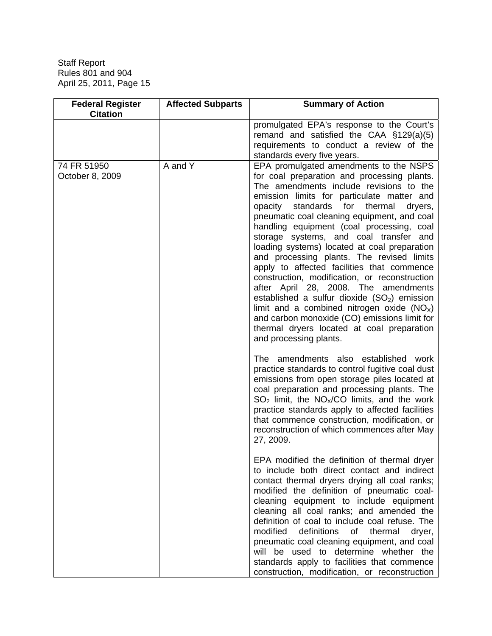| <b>Federal Register</b><br><b>Citation</b> | <b>Affected Subparts</b> | <b>Summary of Action</b>                                                                                                                                                                                                                                                                                                                                                                                                                                                                                                                                                                                                                                                                                                                                                                                                              |
|--------------------------------------------|--------------------------|---------------------------------------------------------------------------------------------------------------------------------------------------------------------------------------------------------------------------------------------------------------------------------------------------------------------------------------------------------------------------------------------------------------------------------------------------------------------------------------------------------------------------------------------------------------------------------------------------------------------------------------------------------------------------------------------------------------------------------------------------------------------------------------------------------------------------------------|
|                                            |                          | promulgated EPA's response to the Court's<br>remand and satisfied the CAA §129(a)(5)<br>requirements to conduct a review of the<br>standards every five years.                                                                                                                                                                                                                                                                                                                                                                                                                                                                                                                                                                                                                                                                        |
| 74 FR 51950<br>October 8, 2009             | A and Y                  | EPA promulgated amendments to the NSPS<br>for coal preparation and processing plants.<br>The amendments include revisions to the<br>emission limits for particulate matter and<br>standards<br>for<br>thermal<br>opacity<br>dryers,<br>pneumatic coal cleaning equipment, and coal<br>handling equipment (coal processing, coal<br>storage systems, and coal transfer and<br>loading systems) located at coal preparation<br>and processing plants. The revised limits<br>apply to affected facilities that commence<br>construction, modification, or reconstruction<br>after April 28, 2008. The amendments<br>established a sulfur dioxide $(SO2)$ emission<br>limit and a combined nitrogen oxide $(NOx)$<br>and carbon monoxide (CO) emissions limit for<br>thermal dryers located at coal preparation<br>and processing plants. |
|                                            |                          | The amendments also established work<br>practice standards to control fugitive coal dust<br>emissions from open storage piles located at<br>coal preparation and processing plants. The<br>$SO2$ limit, the NO <sub>X</sub> /CO limits, and the work<br>practice standards apply to affected facilities<br>that commence construction, modification, or<br>reconstruction of which commences after May<br>27, 2009.                                                                                                                                                                                                                                                                                                                                                                                                                   |
|                                            |                          | EPA modified the definition of thermal dryer<br>to include both direct contact and indirect<br>contact thermal dryers drying all coal ranks;<br>modified the definition of pneumatic coal-<br>cleaning equipment to include equipment<br>cleaning all coal ranks; and amended the<br>definition of coal to include coal refuse. The<br>modified<br>definitions<br>thermal<br>of<br>dryer,<br>pneumatic coal cleaning equipment, and coal<br>will be used to determine whether the<br>standards apply to facilities that commence<br>construction, modification, or reconstruction                                                                                                                                                                                                                                                     |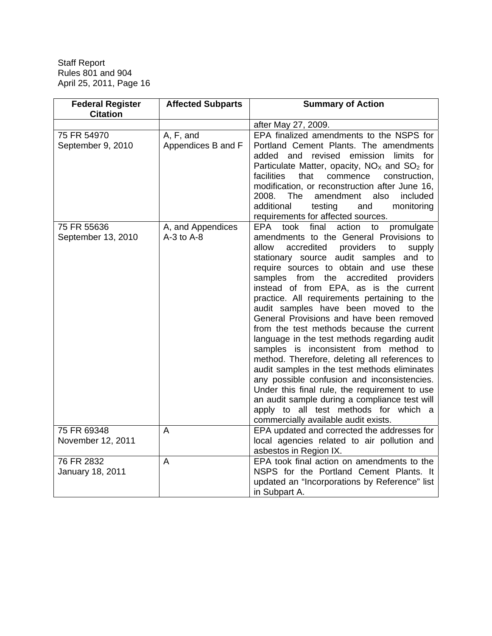| <b>Federal Register</b><br><b>Citation</b> | <b>Affected Subparts</b>            | <b>Summary of Action</b>                                                                                                                                                                                                                                                                                                                                                                                                                                                                                                                                                                                                                                                                                                                                                                                                                                                                                                                |
|--------------------------------------------|-------------------------------------|-----------------------------------------------------------------------------------------------------------------------------------------------------------------------------------------------------------------------------------------------------------------------------------------------------------------------------------------------------------------------------------------------------------------------------------------------------------------------------------------------------------------------------------------------------------------------------------------------------------------------------------------------------------------------------------------------------------------------------------------------------------------------------------------------------------------------------------------------------------------------------------------------------------------------------------------|
|                                            |                                     | after May 27, 2009.                                                                                                                                                                                                                                                                                                                                                                                                                                                                                                                                                                                                                                                                                                                                                                                                                                                                                                                     |
| 75 FR 54970<br>September 9, 2010           | A, F, and<br>Appendices B and F     | EPA finalized amendments to the NSPS for<br>Portland Cement Plants. The amendments<br>and revised<br>emission limits<br>added<br>for<br>Particulate Matter, opacity, $NOx$ and $SO2$ for<br>facilities<br>that<br>commence<br>construction,<br>modification, or reconstruction after June 16,<br>2008.<br><b>The</b><br>amendment<br>also<br>included<br>additional<br>testing<br>and<br>monitoring<br>requirements for affected sources.                                                                                                                                                                                                                                                                                                                                                                                                                                                                                               |
| 75 FR 55636<br>September 13, 2010          | A, and Appendices<br>$A-3$ to $A-8$ | final<br>action<br>took<br>promulgate<br>EPA<br>to<br>amendments to the General Provisions to<br>accredited<br>providers<br>allow<br>to<br>supply<br>stationary source audit samples and to<br>require sources to obtain and use these<br>samples from the accredited providers<br>instead of from EPA, as is the current<br>practice. All requirements pertaining to the<br>audit samples have been moved to the<br>General Provisions and have been removed<br>from the test methods because the current<br>language in the test methods regarding audit<br>samples is inconsistent from method to<br>method. Therefore, deleting all references to<br>audit samples in the test methods eliminates<br>any possible confusion and inconsistencies.<br>Under this final rule, the requirement to use<br>an audit sample during a compliance test will<br>apply to all test methods for which a<br>commercially available audit exists. |
| 75 FR 69348<br>November 12, 2011           | A                                   | EPA updated and corrected the addresses for<br>local agencies related to air pollution and<br>asbestos in Region IX.                                                                                                                                                                                                                                                                                                                                                                                                                                                                                                                                                                                                                                                                                                                                                                                                                    |
| 76 FR 2832<br>January 18, 2011             | $\overline{A}$                      | EPA took final action on amendments to the<br>NSPS for the Portland Cement Plants. It<br>updated an "Incorporations by Reference" list<br>in Subpart A.                                                                                                                                                                                                                                                                                                                                                                                                                                                                                                                                                                                                                                                                                                                                                                                 |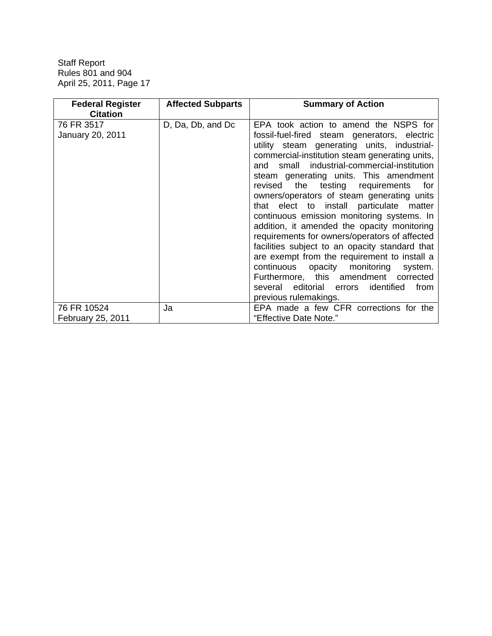| <b>Federal Register</b> | <b>Affected Subparts</b> | <b>Summary of Action</b>                          |
|-------------------------|--------------------------|---------------------------------------------------|
| <b>Citation</b>         |                          |                                                   |
| 76 FR 3517              | D, Da, Db, and Dc        | EPA took action to amend the NSPS for             |
| January 20, 2011        |                          | fossil-fuel-fired steam generators, electric      |
|                         |                          | utility steam generating units, industrial-       |
|                         |                          | commercial-institution steam generating units,    |
|                         |                          | small industrial-commercial-institution<br>and    |
|                         |                          | steam generating units. This amendment            |
|                         |                          | revised<br>the testing requirements<br>for        |
|                         |                          | owners/operators of steam generating units        |
|                         |                          | that elect to install particulate matter          |
|                         |                          | continuous emission monitoring systems. In        |
|                         |                          | addition, it amended the opacity monitoring       |
|                         |                          | requirements for owners/operators of affected     |
|                         |                          | facilities subject to an opacity standard that    |
|                         |                          |                                                   |
|                         |                          | are exempt from the requirement to install a      |
|                         |                          | opacity monitoring<br>continuous<br>system.       |
|                         |                          | Furthermore, this amendment<br>corrected          |
|                         |                          | identified<br>several<br>editorial errors<br>from |
|                         |                          | previous rulemakings.                             |
| 76 FR 10524             | Ja                       | EPA made a few CFR corrections for the            |
| February 25, 2011       |                          | "Effective Date Note."                            |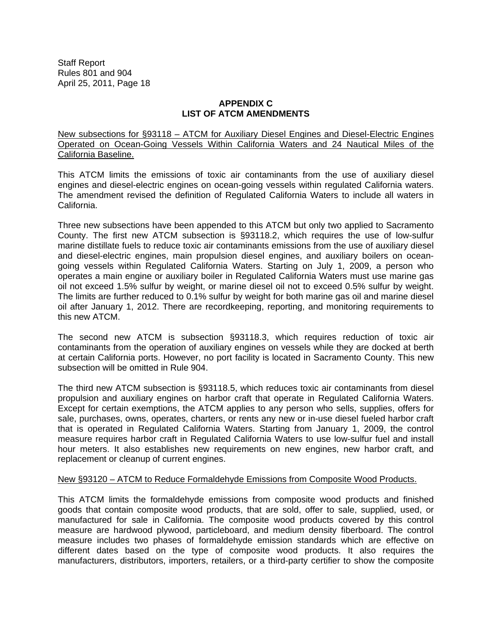## **APPENDIX C LIST OF ATCM AMENDMENTS**

New subsections for §93118 – ATCM for Auxiliary Diesel Engines and Diesel-Electric Engines Operated on Ocean-Going Vessels Within California Waters and 24 Nautical Miles of the California Baseline.

This ATCM limits the emissions of toxic air contaminants from the use of auxiliary diesel engines and diesel-electric engines on ocean-going vessels within regulated California waters. The amendment revised the definition of Regulated California Waters to include all waters in California.

Three new subsections have been appended to this ATCM but only two applied to Sacramento County. The first new ATCM subsection is §93118.2, which requires the use of low-sulfur marine distillate fuels to reduce toxic air contaminants emissions from the use of auxiliary diesel and diesel-electric engines, main propulsion diesel engines, and auxiliary boilers on oceangoing vessels within Regulated California Waters. Starting on July 1, 2009, a person who operates a main engine or auxiliary boiler in Regulated California Waters must use marine gas oil not exceed 1.5% sulfur by weight, or marine diesel oil not to exceed 0.5% sulfur by weight. The limits are further reduced to 0.1% sulfur by weight for both marine gas oil and marine diesel oil after January 1, 2012. There are recordkeeping, reporting, and monitoring requirements to this new ATCM.

The second new ATCM is subsection §93118.3, which requires reduction of toxic air contaminants from the operation of auxiliary engines on vessels while they are docked at berth at certain California ports. However, no port facility is located in Sacramento County. This new subsection will be omitted in Rule 904.

The third new ATCM subsection is §93118.5, which reduces toxic air contaminants from diesel propulsion and auxiliary engines on harbor craft that operate in Regulated California Waters. Except for certain exemptions, the ATCM applies to any person who sells, supplies, offers for sale, purchases, owns, operates, charters, or rents any new or in-use diesel fueled harbor craft that is operated in Regulated California Waters. Starting from January 1, 2009, the control measure requires harbor craft in Regulated California Waters to use low-sulfur fuel and install hour meters. It also establishes new requirements on new engines, new harbor craft, and replacement or cleanup of current engines.

## New §93120 – ATCM to Reduce Formaldehyde Emissions from Composite Wood Products.

This ATCM limits the formaldehyde emissions from composite wood products and finished goods that contain composite wood products, that are sold, offer to sale, supplied, used, or manufactured for sale in California. The composite wood products covered by this control measure are hardwood plywood, particleboard, and medium density fiberboard. The control measure includes two phases of formaldehyde emission standards which are effective on different dates based on the type of composite wood products. It also requires the manufacturers, distributors, importers, retailers, or a third-party certifier to show the composite